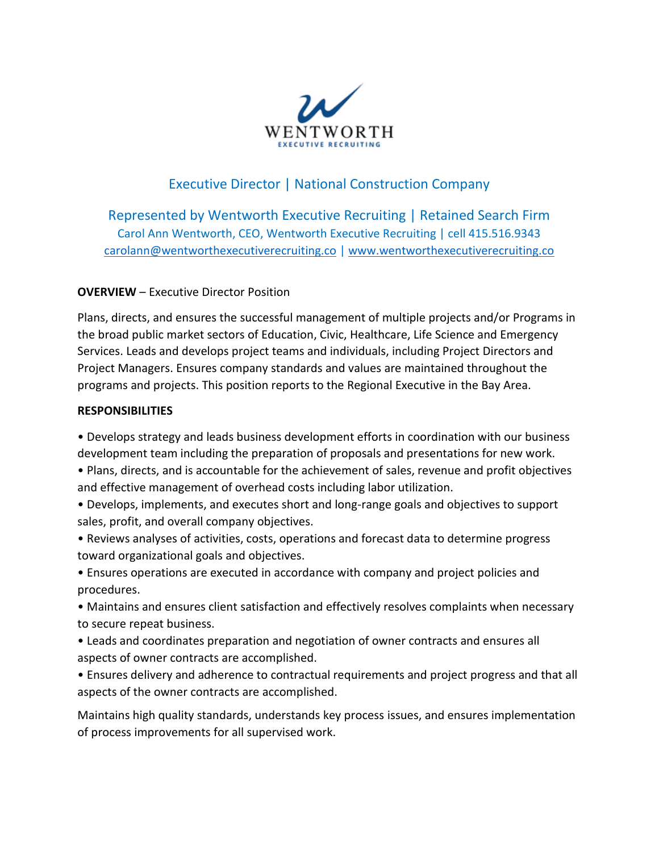

# Executive Director | National Construction Company

Represented by Wentworth Executive Recruiting | Retained Search Firm Carol Ann Wentworth, CEO, Wentworth Executive Recruiting | cell 415.516.9343 [carolann@wentworthexecutiverecruiting.co](mailto:carolann@wentworthexecutiverecruiting.co) [| www.wentworthexecutiverecruiting.co](http://www.wentworthexecutiverecruiting.co/)

#### **OVERVIEW** – Executive Director Position

Plans, directs, and ensures the successful management of multiple projects and/or Programs in the broad public market sectors of Education, Civic, Healthcare, Life Science and Emergency Services. Leads and develops project teams and individuals, including Project Directors and Project Managers. Ensures company standards and values are maintained throughout the programs and projects. This position reports to the Regional Executive in the Bay Area.

### **RESPONSIBILITIES**

• Develops strategy and leads business development efforts in coordination with our business development team including the preparation of proposals and presentations for new work.

• Plans, directs, and is accountable for the achievement of sales, revenue and profit objectives and effective management of overhead costs including labor utilization.

• Develops, implements, and executes short and long-range goals and objectives to support sales, profit, and overall company objectives.

• Reviews analyses of activities, costs, operations and forecast data to determine progress toward organizational goals and objectives.

• Ensures operations are executed in accordance with company and project policies and procedures.

• Maintains and ensures client satisfaction and effectively resolves complaints when necessary to secure repeat business.

• Leads and coordinates preparation and negotiation of owner contracts and ensures all aspects of owner contracts are accomplished.

• Ensures delivery and adherence to contractual requirements and project progress and that all aspects of the owner contracts are accomplished.

Maintains high quality standards, understands key process issues, and ensures implementation of process improvements for all supervised work.